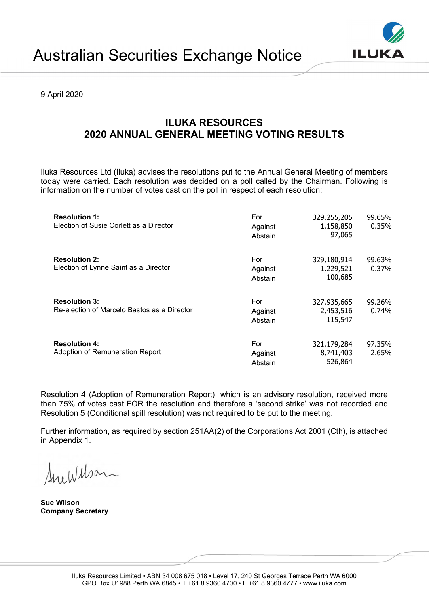9 April 2020

## ILUKA RESOURCES 2020 ANNUAL GENERAL MEETING VOTING RESULTS

Iluka Resources Ltd (Iluka) advises the resolutions put to the Annual General Meeting of members today were carried. Each resolution was decided on a poll called by the Chairman. Following is information on the number of votes cast on the poll in respect of each resolution:

| <b>Resolution 1:</b><br>Election of Susie Corlett as a Director     | For<br>Against<br>Abstain | 329,255,205<br>1,158,850<br>97,065  | 99.65%<br>0.35% |
|---------------------------------------------------------------------|---------------------------|-------------------------------------|-----------------|
| <b>Resolution 2:</b><br>Election of Lynne Saint as a Director       | For<br>Against<br>Abstain | 329,180,914<br>1,229,521<br>100,685 | 99.63%<br>0.37% |
| <b>Resolution 3:</b><br>Re-election of Marcelo Bastos as a Director | For<br>Against<br>Abstain | 327,935,665<br>2,453,516<br>115,547 | 99.26%<br>0.74% |
| <b>Resolution 4:</b><br>Adoption of Remuneration Report             | For<br>Against<br>Abstain | 321,179,284<br>8,741,403<br>526,864 | 97.35%<br>2.65% |

Resolution 4 (Adoption of Remuneration Report), which is an advisory resolution, received more than 75% of votes cast FOR the resolution and therefore a 'second strike' was not recorded and Resolution 5 (Conditional spill resolution) was not required to be put to the meeting.

Further information, as required by section 251AA(2) of the Corporations Act 2001 (Cth), is attached in Appendix 1.

SueWilson

Sue Wilson Company Secretary